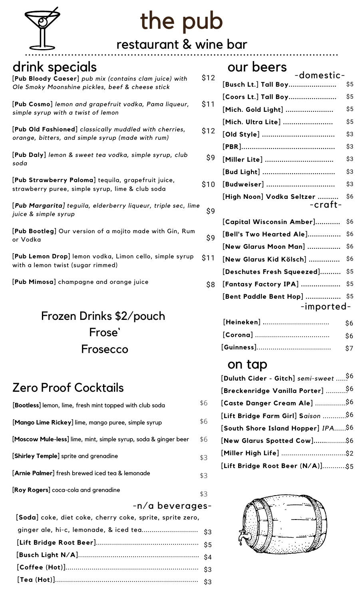

# the pub

### restaurant & wine bar ...............................................................................................

## drink specials

#### **[Pub Bloody Caeser]** *pub mix (contains clam juice) with Ole Smoky Moonshine pickles, beef & cheese stick*

**[Pub Cosmo]** *lemon and grapefruit vodka, Pama liqueur, simple syrup with a twist of lemon*

**[Pub Old Fashioned]** *classically muddled with cherries, orange, bitters, and simple syrup (made with rum)*

**[Pub Daly]** *lemon & sweet tea vodka, simple syrup, club soda*

**[Pub Strawberry Paloma]** tequila, grapefruit juice, strawberry puree, simple syrup, lime & club soda

**[***Pub Margarita] teguila, elderberry liqueur, triple sec, lime juice & simple syrup*

**[Pub Bootleg]** Our version of a mojito made with Gin, Rum or Vodka

**[Pub Lemon Drop]** lemon vodka, Limon cello, simple syrup with a lemon twist (sugar rimmed)  $\hat{S}1$ 

**[Pub Mimosa]** champagne and orange juice

## Frozen Drinks \$2/pouch Frose` Frosecco

## Zero Proof Cocktails

| [Bootless] lemon, lime, fresh mint topped with club soda        | \$6 |
|-----------------------------------------------------------------|-----|
| [Mango Lime Rickey] lime, mango puree, simple syrup             | \$6 |
| [Moscow Mule-less] lime, mint, simple syrup, soda & ginger beer | \$6 |
| [Shirley Temple] sprite and grenadine                           | \$3 |
| [Arnie Palmer] fresh brewed iced tea & lemonade                 | \$3 |
| [Roy Rogers] coca-cola and grenadine                            | \$3 |

#### -n/a beverages-

| [Soda] coke, diet coke, cherry coke, sprite, sprite zero, |  |
|-----------------------------------------------------------|--|
|                                                           |  |
|                                                           |  |
|                                                           |  |
|                                                           |  |
|                                                           |  |
|                                                           |  |

|      | our beers<br>-domestic-              |     |
|------|--------------------------------------|-----|
| \$12 | [Busch Lt.] Tall Boy                 | \$5 |
|      | [Coors Lt.] Tall Boy                 | \$5 |
| \$11 | [Mich. Gold Light]                   | \$5 |
|      | [Mich. Ultra Lite]                   | \$5 |
| \$12 |                                      | \$3 |
|      |                                      | \$3 |
| \$9  | [Miller Lite]                        | \$3 |
|      |                                      | \$3 |
| \$10 | [Budweiser]                          | \$3 |
| \$9  | [High Noon] Vodka Seltzer<br>-craft- | \$6 |
|      | [Capital Wisconsin Amber]            | \$6 |
| \$9  | [Bell's Two Hearted Ale]             | \$6 |
|      | [New Glarus Moon Man]                | \$6 |
| \$11 | [New Glarus Kid Kölsch]              | \$6 |
|      | [Deschutes Fresh Squeezed]           | \$5 |
| \$8  | [Fantasy Factory IPA]                | \$5 |
|      | [Bent Paddle Bent Hop]               | \$5 |
|      | -imported-                           |     |

| [Heineken] | -S6  |
|------------|------|
|            | - S6 |
|            |      |

### on tap

| [Duluth Cider - Gitch] semi-sweet  96 |  |
|---------------------------------------|--|
| [Breckenridge Vanilla Porter] \$6     |  |
| [Caste Danger Cream Ale] \$6          |  |
| [Lift Bridge Farm Girl] Saison  \$6   |  |
| [South Shore Island Hopper] IPA\$6    |  |
| [New Glarus Spotted Cow]\$6           |  |
|                                       |  |
| [Lift Bridge Root Beer (N/A)]\$5      |  |